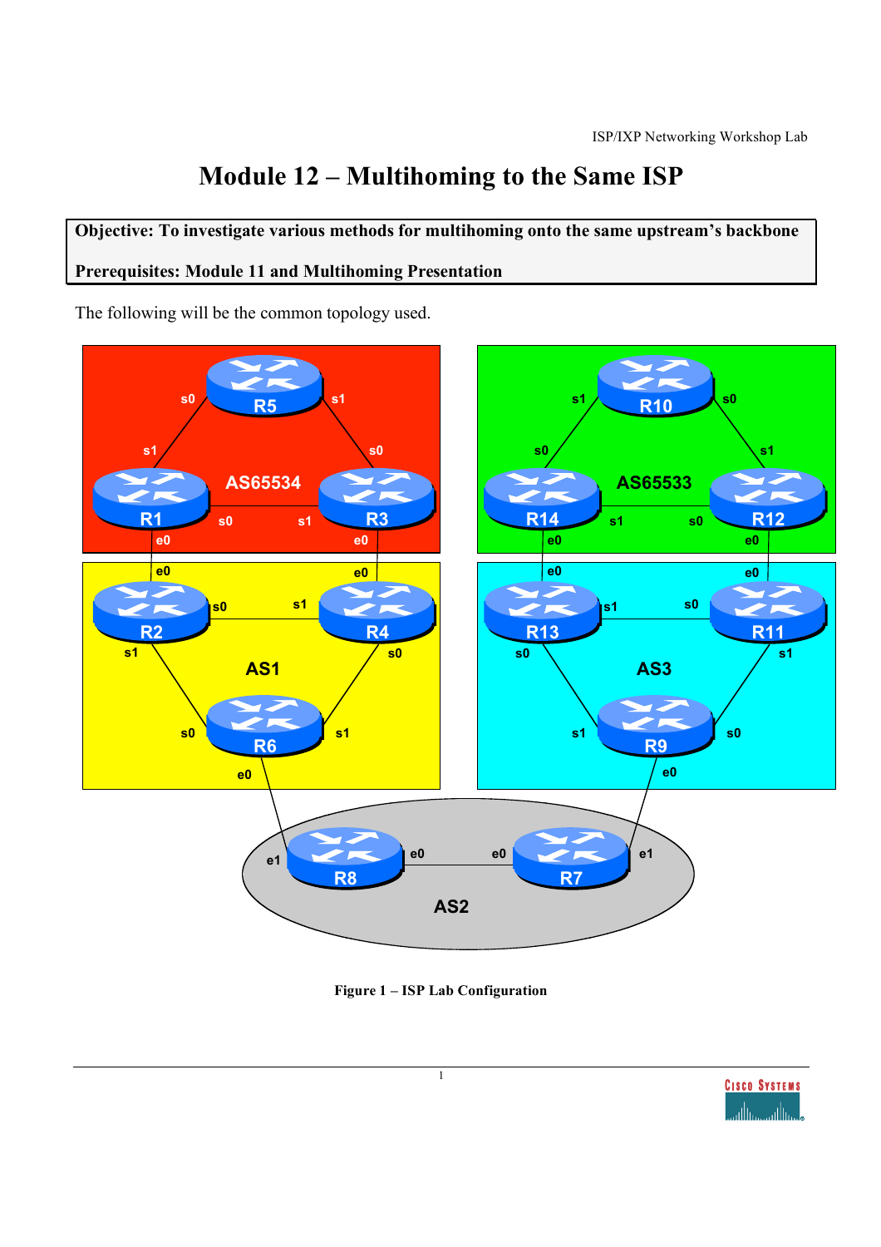# **Module 12 – Multihoming to the Same ISP**

**Objective: To investigate various methods for multihoming onto the same upstream's backbone**

### **Prerequisites: Module 11 and Multihoming Presentation**

The following will be the common topology used.





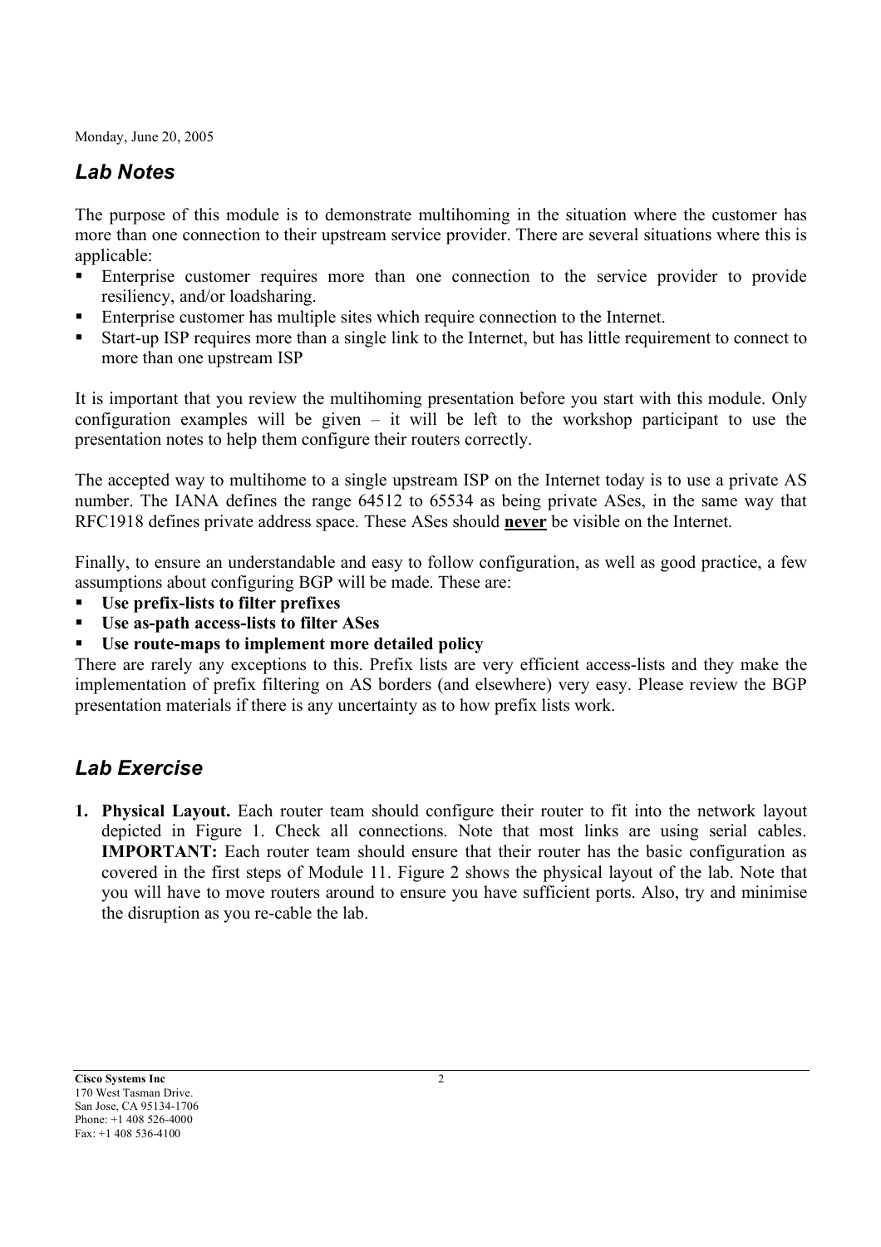## *Lab Notes*

The purpose of this module is to demonstrate multihoming in the situation where the customer has more than one connection to their upstream service provider. There are several situations where this is applicable:

- **Enterprise customer requires more than one connection to the service provider to provide** resiliency, and/or loadsharing.
- Enterprise customer has multiple sites which require connection to the Internet.
- Start-up ISP requires more than a single link to the Internet, but has little requirement to connect to more than one upstream ISP

It is important that you review the multihoming presentation before you start with this module. Only configuration examples will be given – it will be left to the workshop participant to use the presentation notes to help them configure their routers correctly.

The accepted way to multihome to a single upstream ISP on the Internet today is to use a private AS number. The IANA defines the range 64512 to 65534 as being private ASes, in the same way that RFC1918 defines private address space. These ASes should **never** be visible on the Internet.

Finally, to ensure an understandable and easy to follow configuration, as well as good practice, a few assumptions about configuring BGP will be made. These are:

- **Use prefix-lists to filter prefixes**
- **Use as-path access-lists to filter ASes**
- **Use route-maps to implement more detailed policy**

There are rarely any exceptions to this. Prefix lists are very efficient access-lists and they make the implementation of prefix filtering on AS borders (and elsewhere) very easy. Please review the BGP presentation materials if there is any uncertainty as to how prefix lists work.

# *Lab Exercise*

**1. Physical Layout.** Each router team should configure their router to fit into the network layout depicted in Figure 1. Check all connections. Note that most links are using serial cables. **IMPORTANT:** Each router team should ensure that their router has the basic configuration as covered in the first steps of Module 11. Figure 2 shows the physical layout of the lab. Note that you will have to move routers around to ensure you have sufficient ports. Also, try and minimise the disruption as you re-cable the lab.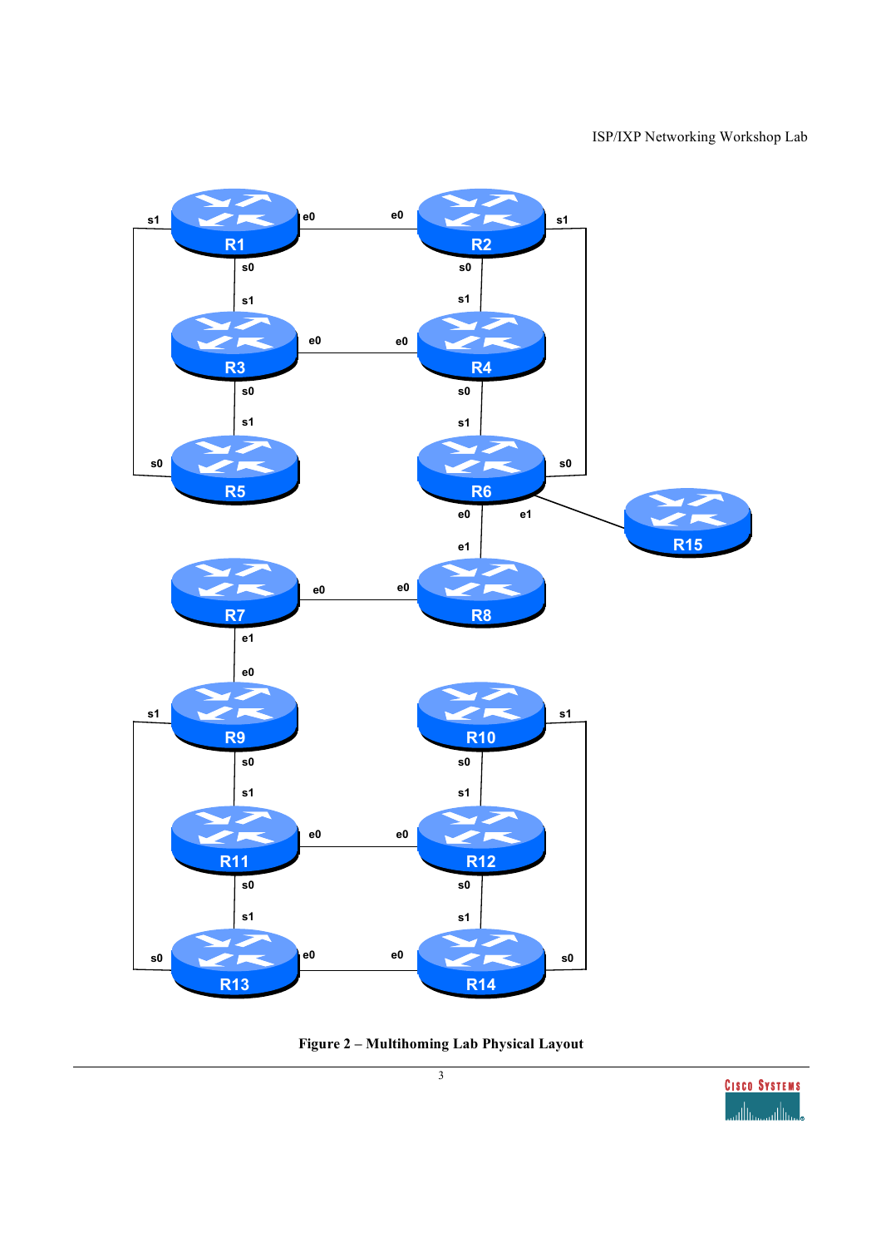

**Figure 2 – Multihoming Lab Physical Layout**

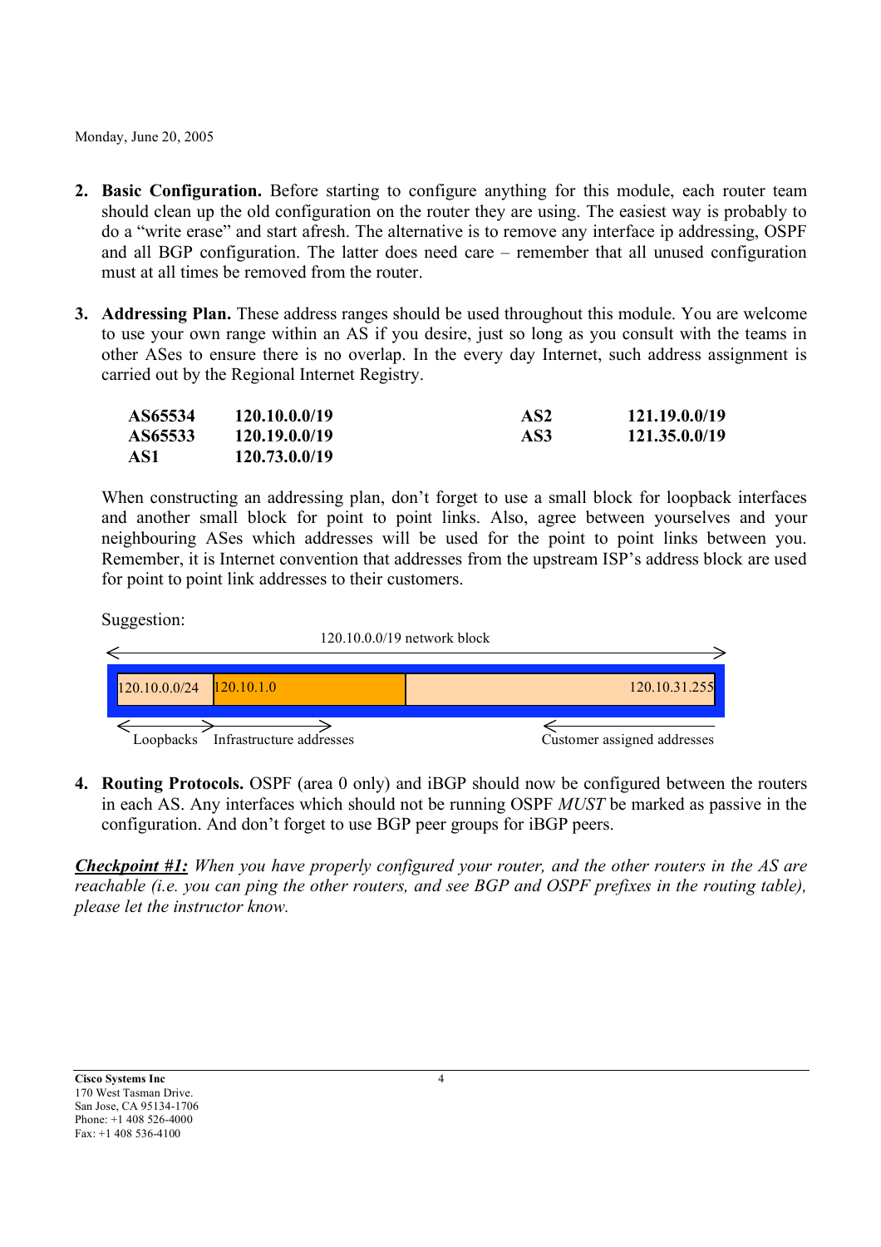- **2. Basic Configuration.** Before starting to configure anything for this module, each router team should clean up the old configuration on the router they are using. The easiest way is probably to do a "write erase" and start afresh. The alternative is to remove any interface ip addressing, OSPF and all BGP configuration. The latter does need care – remember that all unused configuration must at all times be removed from the router.
- **3. Addressing Plan.** These address ranges should be used throughout this module. You are welcome to use your own range within an AS if you desire, just so long as you consult with the teams in other ASes to ensure there is no overlap. In the every day Internet, such address assignment is carried out by the Regional Internet Registry.

| AS65534 | 120.10.0.0/19 | AS2 | 121.19.0.0/19 |
|---------|---------------|-----|---------------|
| AS65533 | 120.19.0.0/19 | AS3 | 121.35.0.0/19 |
| AS1     | 120.73.0.0/19 |     |               |

When constructing an addressing plan, don't forget to use a small block for loopback interfaces and another small block for point to point links. Also, agree between yourselves and your neighbouring ASes which addresses will be used for the point to point links between you. Remember, it is Internet convention that addresses from the upstream ISP's address block are used for point to point link addresses to their customers.

Suggestion: 120.10.0.0/19 network block  $\leftarrow$  $120.10.0.0/24$   $120.10.1.0$ 120.10.31.25  $\Leftarrow$ Loopbacks Infrastructure addresses Customer assigned addresses

**4. Routing Protocols.** OSPF (area 0 only) and iBGP should now be configured between the routers in each AS. Any interfaces which should not be running OSPF *MUST* be marked as passive in the configuration. And don't forget to use BGP peer groups for iBGP peers.

*Checkpoint #1: When you have properly configured your router, and the other routers in the AS are reachable (i.e. you can ping the other routers, and see BGP and OSPF prefixes in the routing table), please let the instructor know.*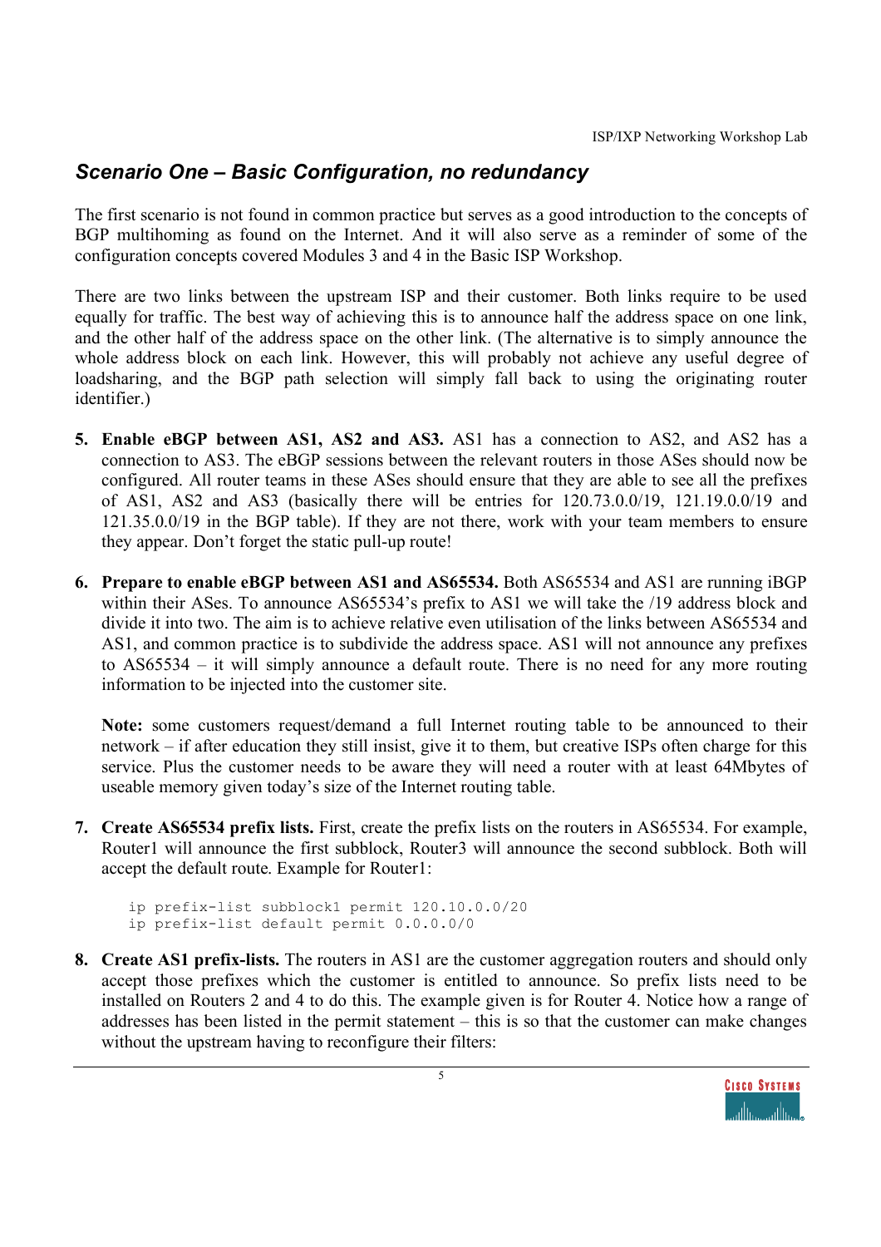# *Scenario One – Basic Configuration, no redundancy*

The first scenario is not found in common practice but serves as a good introduction to the concepts of BGP multihoming as found on the Internet. And it will also serve as a reminder of some of the configuration concepts covered Modules 3 and 4 in the Basic ISP Workshop.

There are two links between the upstream ISP and their customer. Both links require to be used equally for traffic. The best way of achieving this is to announce half the address space on one link, and the other half of the address space on the other link. (The alternative is to simply announce the whole address block on each link. However, this will probably not achieve any useful degree of loadsharing, and the BGP path selection will simply fall back to using the originating router identifier.)

- **5. Enable eBGP between AS1, AS2 and AS3.** AS1 has a connection to AS2, and AS2 has a connection to AS3. The eBGP sessions between the relevant routers in those ASes should now be configured. All router teams in these ASes should ensure that they are able to see all the prefixes of AS1, AS2 and AS3 (basically there will be entries for 120.73.0.0/19, 121.19.0.0/19 and 121.35.0.0/19 in the BGP table). If they are not there, work with your team members to ensure they appear. Don't forget the static pull-up route!
- **6. Prepare to enable eBGP between AS1 and AS65534.** Both AS65534 and AS1 are running iBGP within their ASes. To announce AS65534's prefix to AS1 we will take the /19 address block and divide it into two. The aim is to achieve relative even utilisation of the links between AS65534 and AS1, and common practice is to subdivide the address space. AS1 will not announce any prefixes to AS65534 – it will simply announce a default route. There is no need for any more routing information to be injected into the customer site.

**Note:** some customers request/demand a full Internet routing table to be announced to their network – if after education they still insist, give it to them, but creative ISPs often charge for this service. Plus the customer needs to be aware they will need a router with at least 64Mbytes of useable memory given today's size of the Internet routing table.

**7. Create AS65534 prefix lists.** First, create the prefix lists on the routers in AS65534. For example, Router1 will announce the first subblock, Router3 will announce the second subblock. Both will accept the default route. Example for Router1:

```
ip prefix-list subblock1 permit 120.10.0.0/20
ip prefix-list default permit 0.0.0.0/0
```
**8. Create AS1 prefix-lists.** The routers in AS1 are the customer aggregation routers and should only accept those prefixes which the customer is entitled to announce. So prefix lists need to be installed on Routers 2 and 4 to do this. The example given is for Router 4. Notice how a range of addresses has been listed in the permit statement – this is so that the customer can make changes without the upstream having to reconfigure their filters:

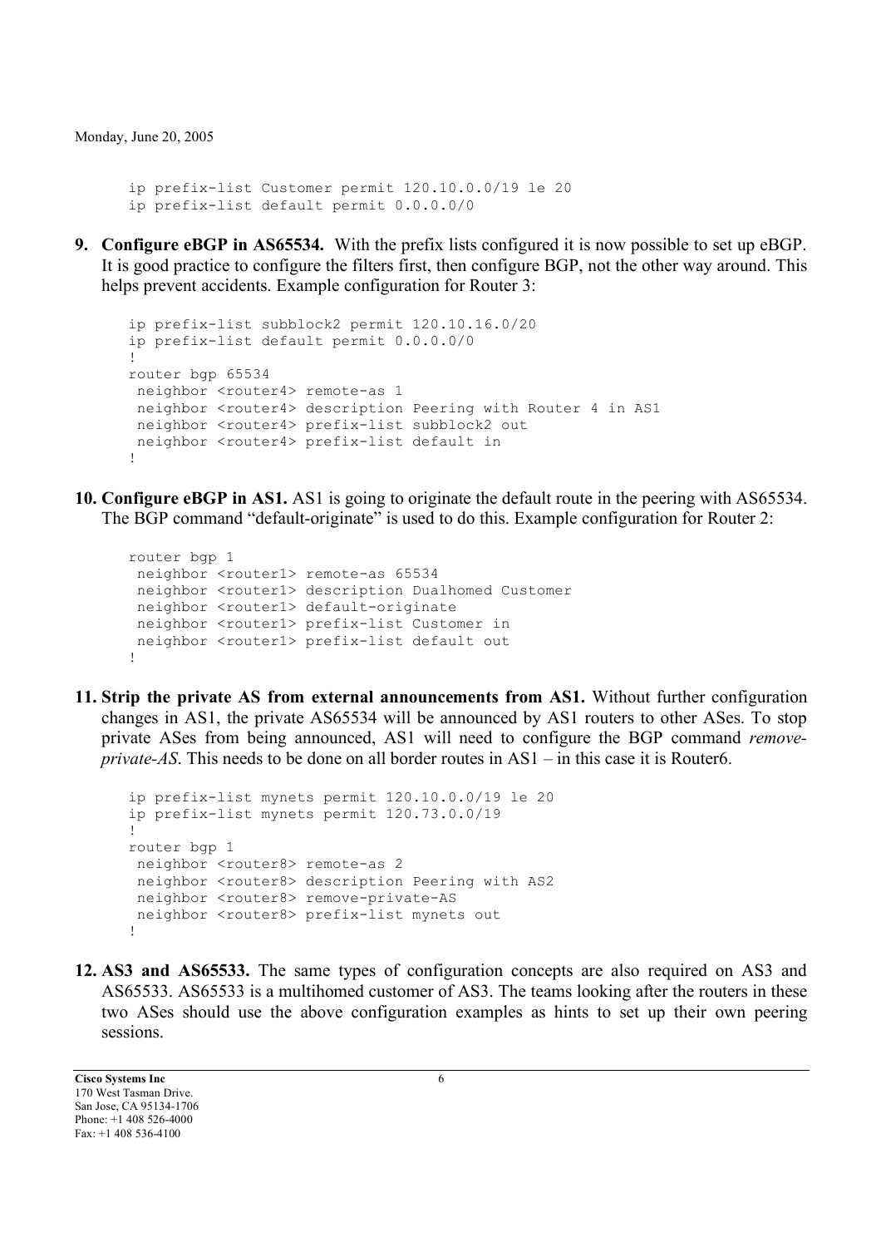ip prefix-list Customer permit 120.10.0.0/19 le 20 ip prefix-list default permit 0.0.0.0/0

**9. Configure eBGP in AS65534.** With the prefix lists configured it is now possible to set up eBGP. It is good practice to configure the filters first, then configure BGP, not the other way around. This helps prevent accidents. Example configuration for Router 3:

```
ip prefix-list subblock2 permit 120.10.16.0/20
ip prefix-list default permit 0.0.0.0/0
!
router bgp 65534
 neighbor <router4> remote-as 1
 neighbor <router4> description Peering with Router 4 in AS1
neighbor <router4> prefix-list subblock2 out
neighbor <router4> prefix-list default in
!
```
**10. Configure eBGP in AS1.** AS1 is going to originate the default route in the peering with AS65534. The BGP command "default-originate" is used to do this. Example configuration for Router 2:

```
router bgp 1
neighbor <router1> remote-as 65534
neighbor <router1> description Dualhomed Customer
neighbor <router1> default-originate
neighbor <router1> prefix-list Customer in
neighbor <router1> prefix-list default out
!
```
**11. Strip the private AS from external announcements from AS1.** Without further configuration changes in AS1, the private AS65534 will be announced by AS1 routers to other ASes. To stop private ASes from being announced, AS1 will need to configure the BGP command *removeprivate-AS*. This needs to be done on all border routes in AS1 – in this case it is Router6.

```
ip prefix-list mynets permit 120.10.0.0/19 le 20
ip prefix-list mynets permit 120.73.0.0/19
!
router bgp 1
 neighbor <router8> remote-as 2
 neighbor <router8> description Peering with AS2
 neighbor <router8> remove-private-AS
 neighbor <router8> prefix-list mynets out
!
```
**12. AS3 and AS65533.** The same types of configuration concepts are also required on AS3 and AS65533. AS65533 is a multihomed customer of AS3. The teams looking after the routers in these two ASes should use the above configuration examples as hints to set up their own peering sessions.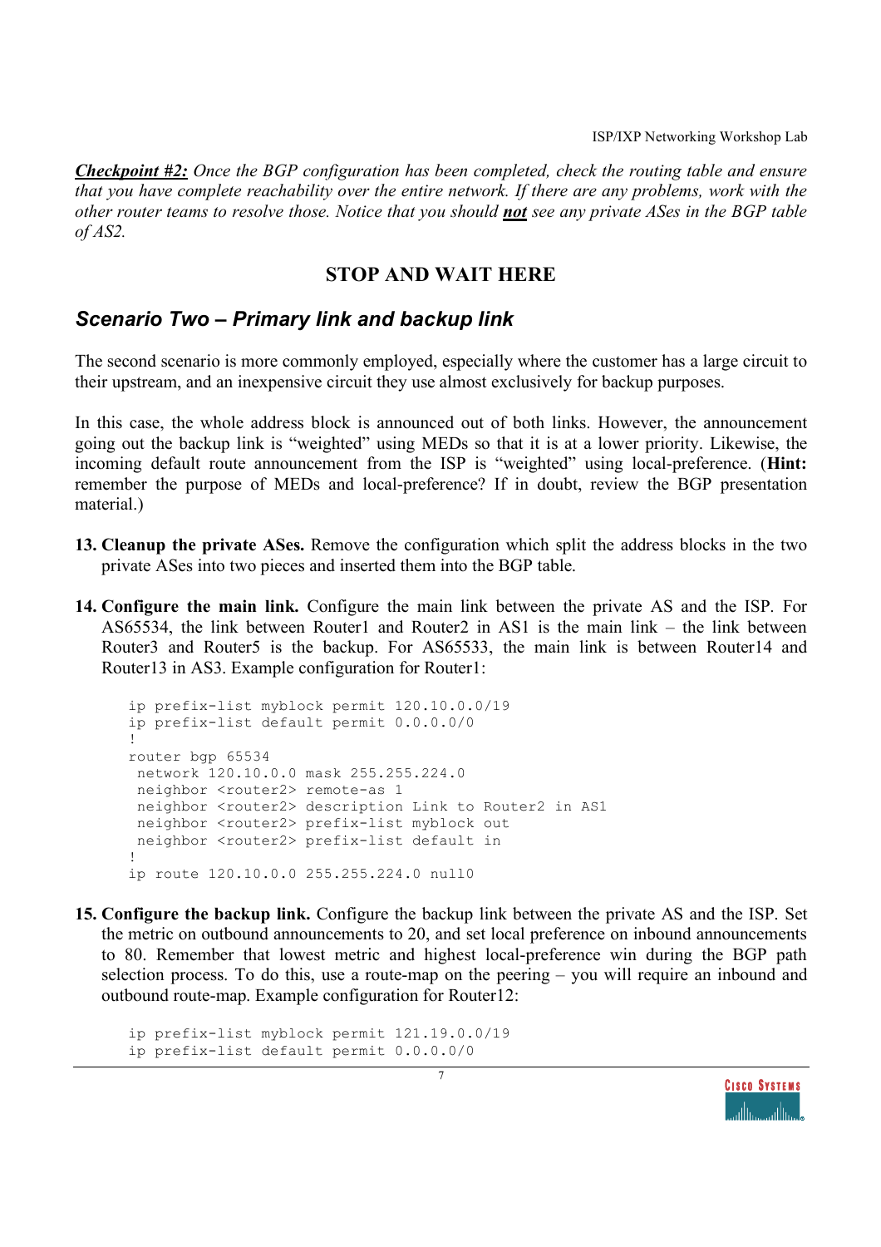*Checkpoint #2: Once the BGP configuration has been completed, check the routing table and ensure that you have complete reachability over the entire network. If there are any problems, work with the other router teams to resolve those. Notice that you should not see any private ASes in the BGP table of AS2.*

#### **STOP AND WAIT HERE**

#### *Scenario Two – Primary link and backup link*

The second scenario is more commonly employed, especially where the customer has a large circuit to their upstream, and an inexpensive circuit they use almost exclusively for backup purposes.

In this case, the whole address block is announced out of both links. However, the announcement going out the backup link is "weighted" using MEDs so that it is at a lower priority. Likewise, the incoming default route announcement from the ISP is "weighted" using local-preference. (**Hint:** remember the purpose of MEDs and local-preference? If in doubt, review the BGP presentation material.)

- **13. Cleanup the private ASes.** Remove the configuration which split the address blocks in the two private ASes into two pieces and inserted them into the BGP table.
- **14. Configure the main link.** Configure the main link between the private AS and the ISP. For AS65534, the link between Router1 and Router2 in AS1 is the main link – the link between Router3 and Router5 is the backup. For AS65533, the main link is between Router14 and Router13 in AS3. Example configuration for Router1:

```
ip prefix-list myblock permit 120.10.0.0/19
ip prefix-list default permit 0.0.0.0/0
!
router bgp 65534
 network 120.10.0.0 mask 255.255.224.0
 neighbor <router2> remote-as 1
 neighbor <router2> description Link to Router2 in AS1
 neighbor <router2> prefix-list myblock out
neighbor <router2> prefix-list default in
!
ip route 120.10.0.0 255.255.224.0 null0
```
**15. Configure the backup link.** Configure the backup link between the private AS and the ISP. Set the metric on outbound announcements to 20, and set local preference on inbound announcements to 80. Remember that lowest metric and highest local-preference win during the BGP path selection process. To do this, use a route-map on the peering – you will require an inbound and outbound route-map. Example configuration for Router12:

```
ip prefix-list myblock permit 121.19.0.0/19
ip prefix-list default permit 0.0.0.0/0
```
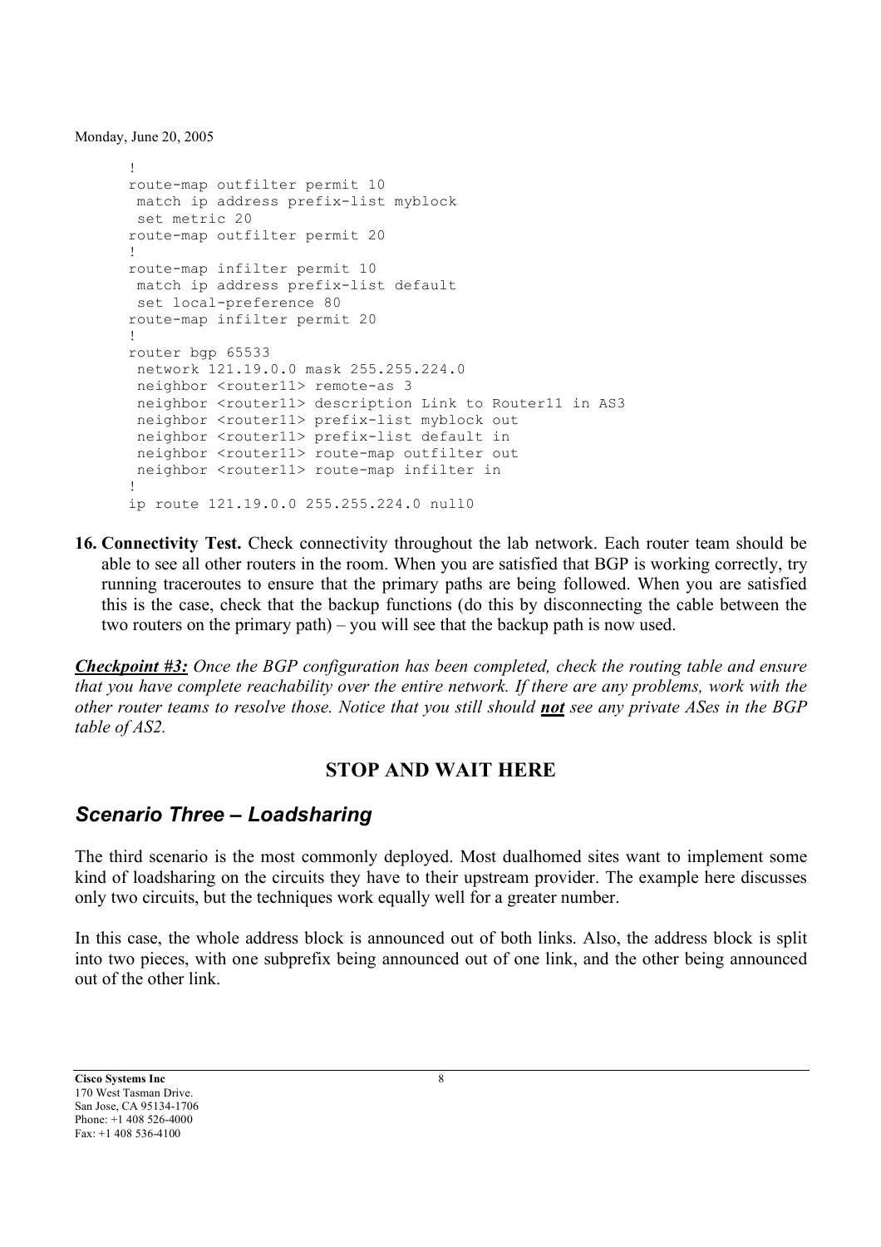```
!
route-map outfilter permit 10
match ip address prefix-list myblock
set metric 20
route-map outfilter permit 20
!
route-map infilter permit 10
match ip address prefix-list default
set local-preference 80
route-map infilter permit 20
!
router bgp 65533
network 121.19.0.0 mask 255.255.224.0
 neighbor <router11> remote-as 3
 neighbor <router11> description Link to Router11 in AS3
 neighbor <router11> prefix-list myblock out
 neighbor <router11> prefix-list default in
 neighbor <router11> route-map outfilter out
 neighbor <router11> route-map infilter in
!
ip route 121.19.0.0 255.255.224.0 null0
```
**16. Connectivity Test.** Check connectivity throughout the lab network. Each router team should be able to see all other routers in the room. When you are satisfied that BGP is working correctly, try running traceroutes to ensure that the primary paths are being followed. When you are satisfied this is the case, check that the backup functions (do this by disconnecting the cable between the two routers on the primary path) – you will see that the backup path is now used.

*Checkpoint #3: Once the BGP configuration has been completed, check the routing table and ensure that you have complete reachability over the entire network. If there are any problems, work with the other router teams to resolve those. Notice that you still should not see any private ASes in the BGP table of AS2.*

#### **STOP AND WAIT HERE**

### *Scenario Three – Loadsharing*

The third scenario is the most commonly deployed. Most dualhomed sites want to implement some kind of loadsharing on the circuits they have to their upstream provider. The example here discusses only two circuits, but the techniques work equally well for a greater number.

In this case, the whole address block is announced out of both links. Also, the address block is split into two pieces, with one subprefix being announced out of one link, and the other being announced out of the other link.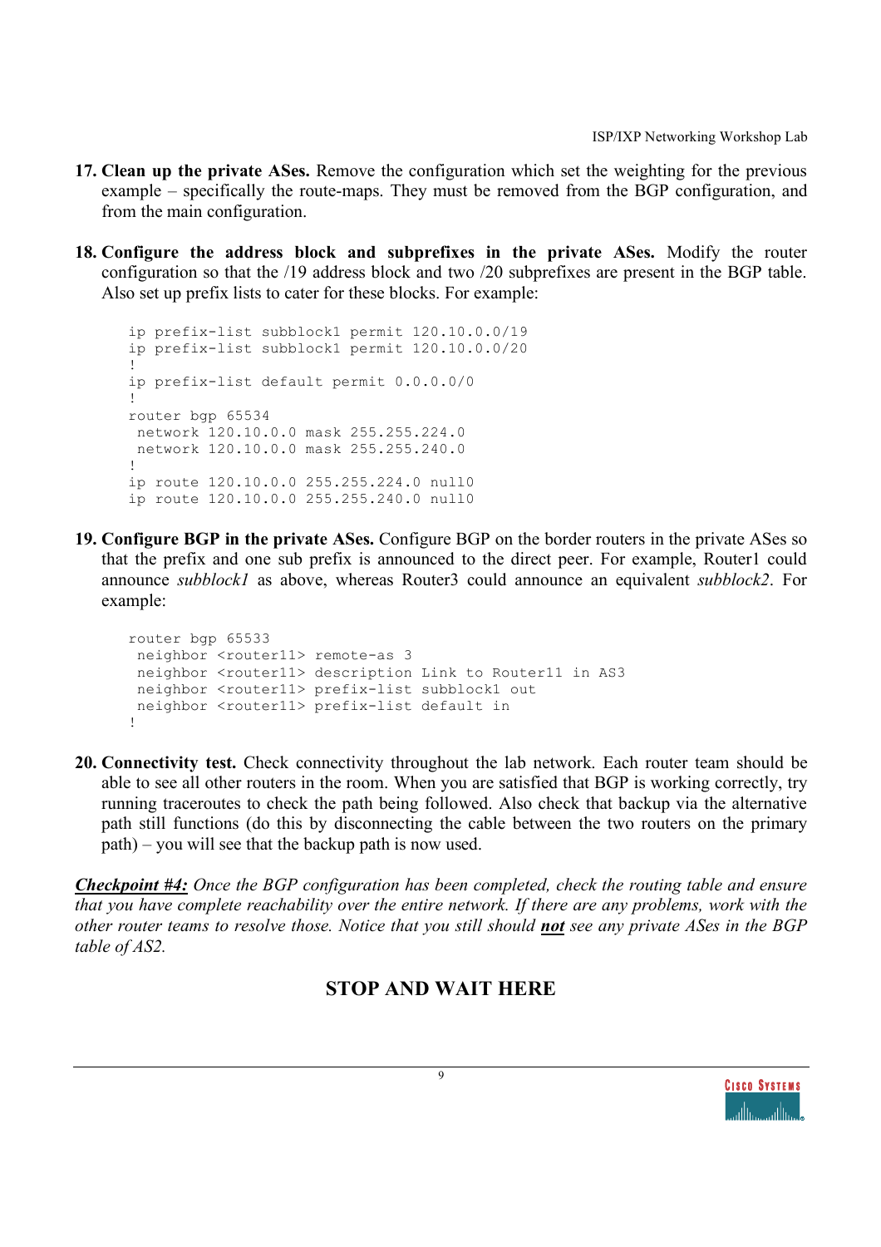- **17. Clean up the private ASes.** Remove the configuration which set the weighting for the previous example – specifically the route-maps. They must be removed from the BGP configuration, and from the main configuration.
- **18. Configure the address block and subprefixes in the private ASes.** Modify the router configuration so that the /19 address block and two /20 subprefixes are present in the BGP table. Also set up prefix lists to cater for these blocks. For example:

```
ip prefix-list subblock1 permit 120.10.0.0/19
ip prefix-list subblock1 permit 120.10.0.0/20
!
ip prefix-list default permit 0.0.0.0/0
!
router bgp 65534
network 120.10.0.0 mask 255.255.224.0
network 120.10.0.0 mask 255.255.240.0
!
ip route 120.10.0.0 255.255.224.0 null0
ip route 120.10.0.0 255.255.240.0 null0
```
**19. Configure BGP in the private ASes.** Configure BGP on the border routers in the private ASes so that the prefix and one sub prefix is announced to the direct peer. For example, Router1 could announce *subblock1* as above, whereas Router3 could announce an equivalent *subblock2*. For example:

```
router bgp 65533
 neighbor <router11> remote-as 3
 neighbor <router11> description Link to Router11 in AS3
 neighbor <router11> prefix-list subblock1 out
 neighbor <router11> prefix-list default in
!
```
**20. Connectivity test.** Check connectivity throughout the lab network. Each router team should be able to see all other routers in the room. When you are satisfied that BGP is working correctly, try running traceroutes to check the path being followed. Also check that backup via the alternative path still functions (do this by disconnecting the cable between the two routers on the primary path) – you will see that the backup path is now used.

*Checkpoint #4: Once the BGP configuration has been completed, check the routing table and ensure that you have complete reachability over the entire network. If there are any problems, work with the other router teams to resolve those. Notice that you still should not see any private ASes in the BGP table of AS2.*

### **STOP AND WAIT HERE**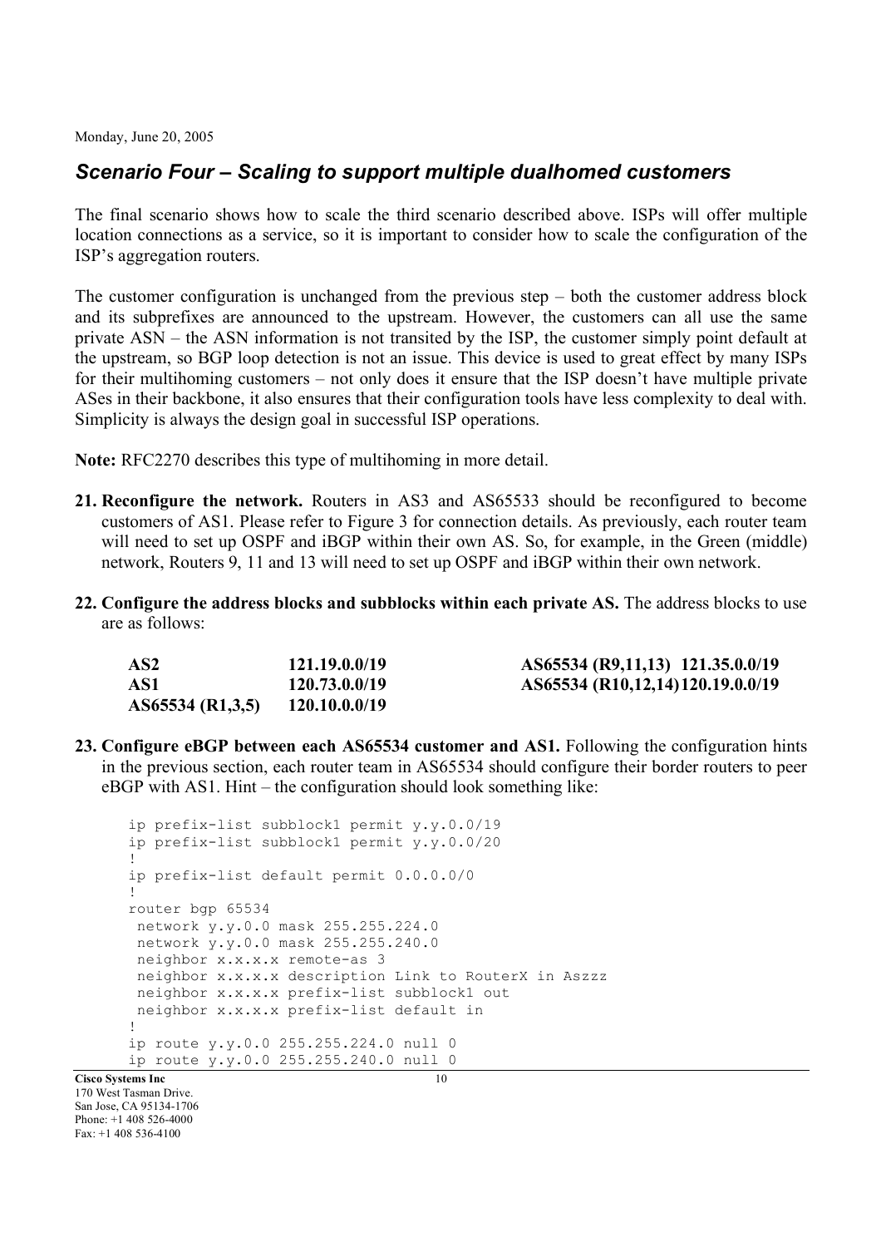### *Scenario Four – Scaling to support multiple dualhomed customers*

The final scenario shows how to scale the third scenario described above. ISPs will offer multiple location connections as a service, so it is important to consider how to scale the configuration of the ISP's aggregation routers.

The customer configuration is unchanged from the previous step – both the customer address block and its subprefixes are announced to the upstream. However, the customers can all use the same private ASN – the ASN information is not transited by the ISP, the customer simply point default at the upstream, so BGP loop detection is not an issue. This device is used to great effect by many ISPs for their multihoming customers – not only does it ensure that the ISP doesn't have multiple private ASes in their backbone, it also ensures that their configuration tools have less complexity to deal with. Simplicity is always the design goal in successful ISP operations.

**Note:** RFC2270 describes this type of multihoming in more detail.

- **21. Reconfigure the network.** Routers in AS3 and AS65533 should be reconfigured to become customers of AS1. Please refer to Figure 3 for connection details. As previously, each router team will need to set up OSPF and iBGP within their own AS. So, for example, in the Green (middle) network, Routers 9, 11 and 13 will need to set up OSPF and iBGP within their own network.
- **22. Configure the address blocks and subblocks within each private AS.** The address blocks to use are as follows:

| AS2              | 121.19.0.0/19 | AS65534 (R9,11,13) 121.35.0.0/19 |
|------------------|---------------|----------------------------------|
| AS1              | 120.73.0.0/19 | AS65534 (R10,12,14)120.19.0.0/19 |
| AS65534 (R1,3,5) | 120.10.0.0/19 |                                  |

**23. Configure eBGP between each AS65534 customer and AS1.** Following the configuration hints in the previous section, each router team in AS65534 should configure their border routers to peer eBGP with AS1. Hint – the configuration should look something like:

```
Cisco Systems Inc 10
     ip prefix-list subblock1 permit y.y.0.0/19
     ip prefix-list subblock1 permit y.y.0.0/20
     !
     ip prefix-list default permit 0.0.0.0/0
      !
     router bgp 65534
      network y.y.0.0 mask 255.255.224.0
      network y.y.0.0 mask 255.255.240.0
      neighbor x.x.x.x remote-as 3
      neighbor x.x.x.x description Link to RouterX in Aszzz
      neighbor x.x.x.x prefix-list subblock1 out
      neighbor x.x.x.x prefix-list default in
     !
     ip route y.y.0.0 255.255.224.0 null 0
     ip route y.y.0.0 255.255.240.0 null 0
```
170 West Tasman Drive. San Jose, CA 95134-1706 Phone: +1 408 526-4000 Fax: +1 408 536-4100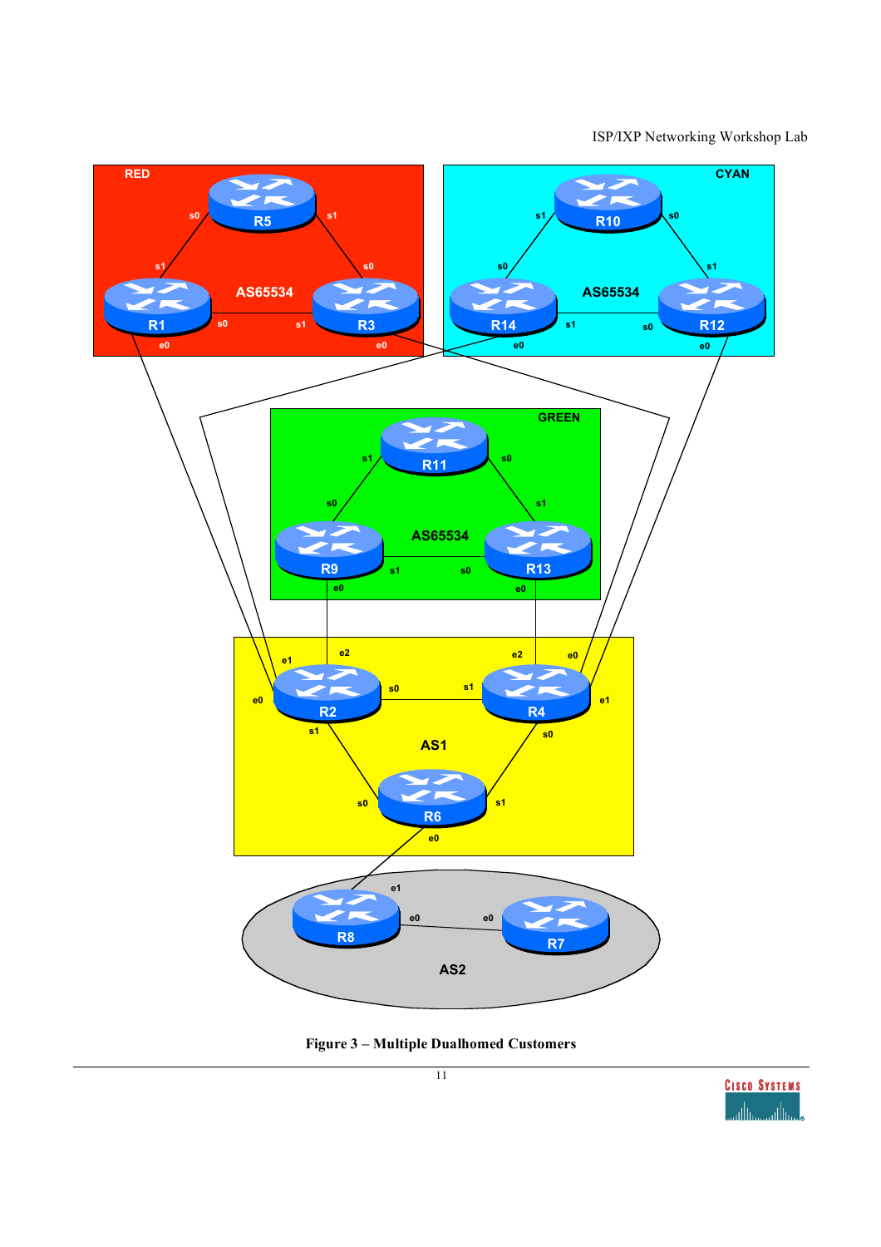ISP/IXP Networking Workshop Lab





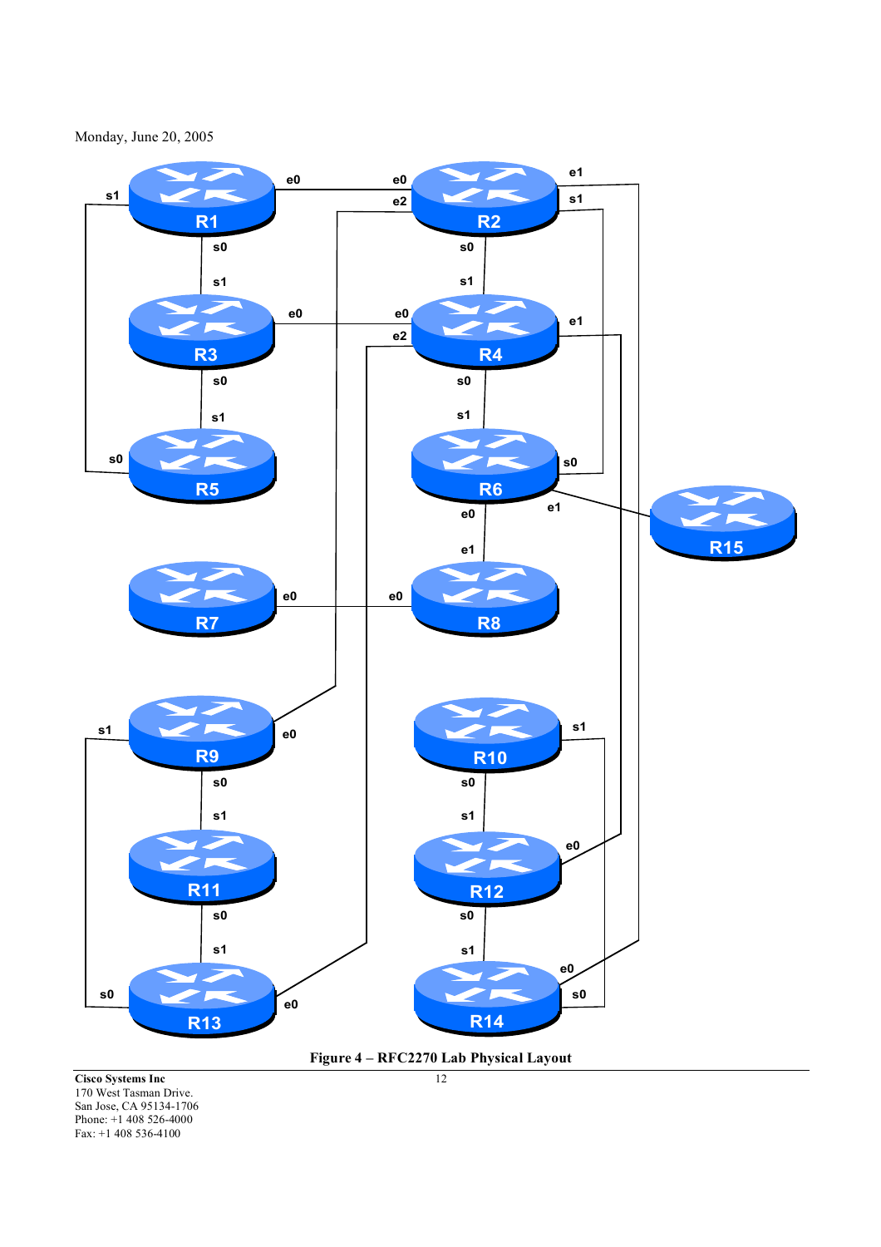Monday, June 20, 2005





**Cisco Systems Inc** 12 170 West Tasman Drive. San Jose, CA 95134-1706 Phone: +1 408 526-4000 Fax: +1 408 536-4100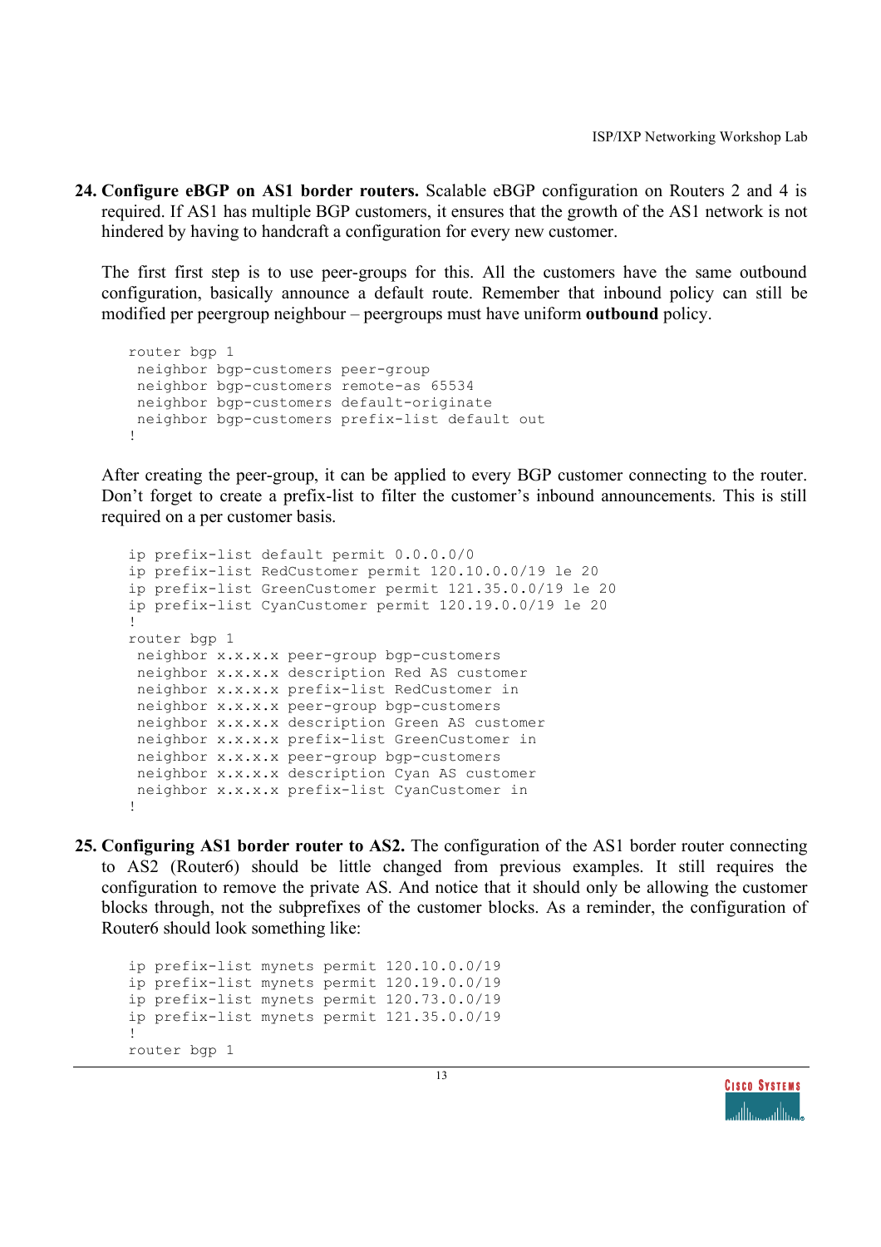**24. Configure eBGP on AS1 border routers.** Scalable eBGP configuration on Routers 2 and 4 is required. If AS1 has multiple BGP customers, it ensures that the growth of the AS1 network is not hindered by having to handcraft a configuration for every new customer.

The first first step is to use peer-groups for this. All the customers have the same outbound configuration, basically announce a default route. Remember that inbound policy can still be modified per peergroup neighbour – peergroups must have uniform **outbound** policy.

```
router bgp 1
neighbor bgp-customers peer-group
 neighbor bgp-customers remote-as 65534
neighbor bgp-customers default-originate
neighbor bgp-customers prefix-list default out
!
```
After creating the peer-group, it can be applied to every BGP customer connecting to the router. Don't forget to create a prefix-list to filter the customer's inbound announcements. This is still required on a per customer basis.

```
ip prefix-list default permit 0.0.0.0/0
ip prefix-list RedCustomer permit 120.10.0.0/19 le 20
ip prefix-list GreenCustomer permit 121.35.0.0/19 le 20
ip prefix-list CyanCustomer permit 120.19.0.0/19 le 20
!
router bgp 1
 neighbor x.x.x.x peer-group bgp-customers
 neighbor x.x.x.x description Red AS customer
 neighbor x.x.x.x prefix-list RedCustomer in
 neighbor x.x.x.x peer-group bgp-customers
 neighbor x.x.x.x description Green AS customer
 neighbor x.x.x.x prefix-list GreenCustomer in
 neighbor x.x.x.x peer-group bgp-customers
 neighbor x.x.x.x description Cyan AS customer
 neighbor x.x.x.x prefix-list CyanCustomer in
!
```
**25. Configuring AS1 border router to AS2.** The configuration of the AS1 border router connecting to AS2 (Router6) should be little changed from previous examples. It still requires the configuration to remove the private AS. And notice that it should only be allowing the customer blocks through, not the subprefixes of the customer blocks. As a reminder, the configuration of Router6 should look something like:

```
ip prefix-list mynets permit 120.10.0.0/19
ip prefix-list mynets permit 120.19.0.0/19
ip prefix-list mynets permit 120.73.0.0/19
ip prefix-list mynets permit 121.35.0.0/19
!
router bgp 1
```
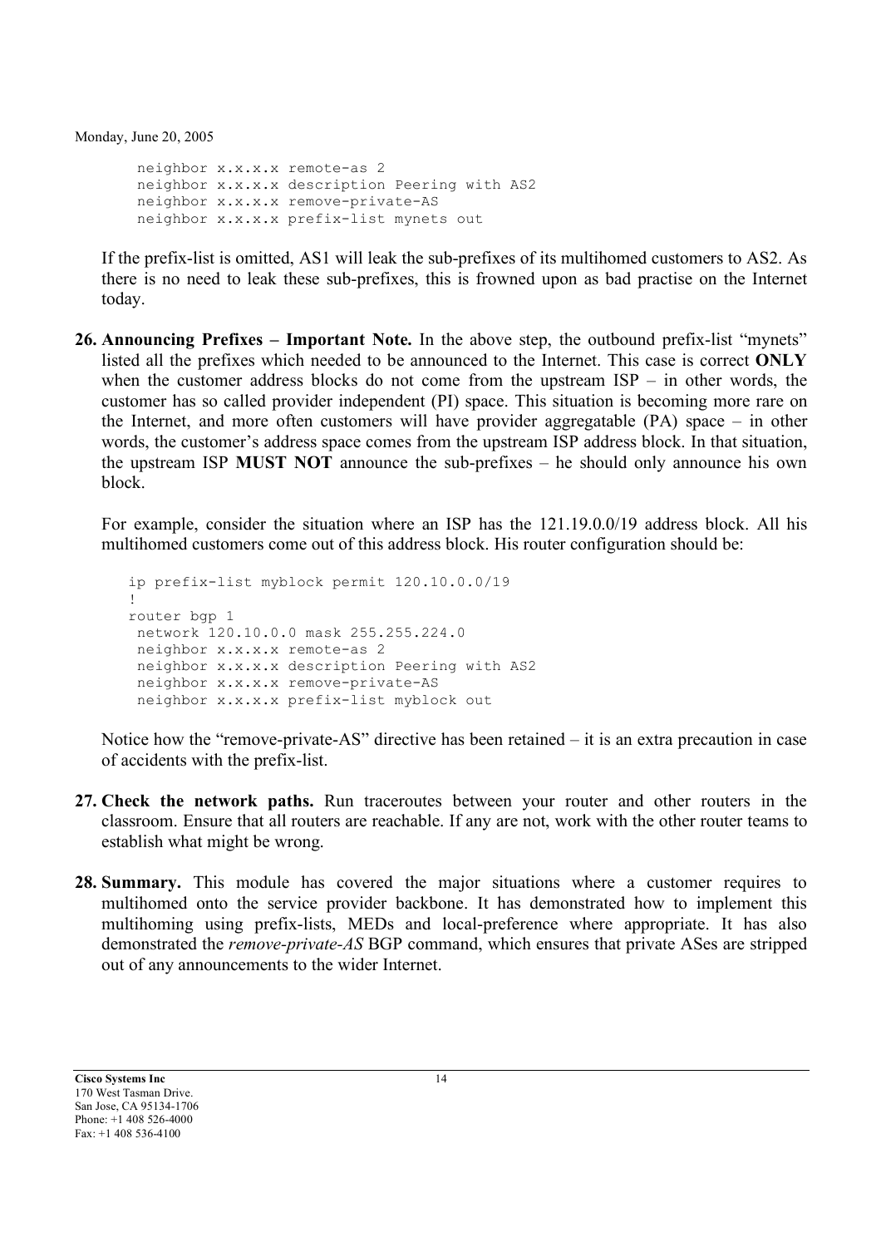neighbor x.x.x.x remote-as 2 neighbor x.x.x.x description Peering with AS2 neighbor x.x.x.x remove-private-AS neighbor x.x.x.x prefix-list mynets out

If the prefix-list is omitted, AS1 will leak the sub-prefixes of its multihomed customers to AS2. As there is no need to leak these sub-prefixes, this is frowned upon as bad practise on the Internet today.

**26. Announcing Prefixes – Important Note.** In the above step, the outbound prefix-list "mynets" listed all the prefixes which needed to be announced to the Internet. This case is correct **ONLY** when the customer address blocks do not come from the upstream ISP – in other words, the customer has so called provider independent (PI) space. This situation is becoming more rare on the Internet, and more often customers will have provider aggregatable (PA) space – in other words, the customer's address space comes from the upstream ISP address block. In that situation, the upstream ISP **MUST NOT** announce the sub-prefixes – he should only announce his own block.

For example, consider the situation where an ISP has the 121.19.0.0/19 address block. All his multihomed customers come out of this address block. His router configuration should be:

```
ip prefix-list myblock permit 120.10.0.0/19
!
router bgp 1
network 120.10.0.0 mask 255.255.224.0
neighbor x.x.x.x remote-as 2
 neighbor x.x.x.x description Peering with AS2
 neighbor x.x.x.x remove-private-AS
 neighbor x.x.x.x prefix-list myblock out
```
Notice how the "remove-private-AS" directive has been retained – it is an extra precaution in case of accidents with the prefix-list.

- **27. Check the network paths.** Run traceroutes between your router and other routers in the classroom. Ensure that all routers are reachable. If any are not, work with the other router teams to establish what might be wrong.
- **28. Summary.** This module has covered the major situations where a customer requires to multihomed onto the service provider backbone. It has demonstrated how to implement this multihoming using prefix-lists, MEDs and local-preference where appropriate. It has also demonstrated the *remove-private-AS* BGP command, which ensures that private ASes are stripped out of any announcements to the wider Internet.